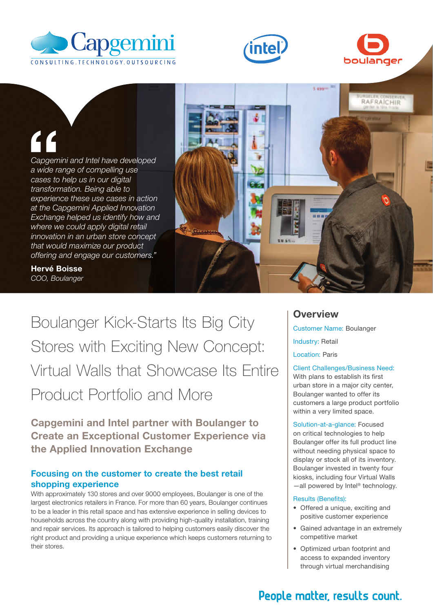





Capgem<br>
a wide rangement<br>
cases to<br>
transform<br>
experience *Capgemini and Intel have developed a wide range of compelling use cases to help us in our digital transformation. Being able to experience these use cases in action at the Capgemini Applied Innovation Exchange helped us identify how and where we could apply digital retail innovation in an urban store concept that would maximize our product offering and engage our customers."*



Hervé Boisse *COO, Boulanger*

Boulanger Kick-Starts Its Big City Stores with Exciting New Concept: Virtual Walls that Showcase Its Entire Product Portfolio and More

Capgemini and Intel partner with Boulanger to Create an Exceptional Customer Experience via the Applied Innovation Exchange

## Focusing on the customer to create the best retail shopping experience

With approximately 130 stores and over 9000 employees, Boulanger is one of the largest electronics retailers in France. For more than 60 years, Boulanger continues to be a leader in this retail space and has extensive experience in selling devices to households across the country along with providing high-quality installation, training and repair services. Its approach is tailored to helping customers easily discover the right product and providing a unique experience which keeps customers returning to their stores.

# **Overview**

Customer Name: Boulanger Industry: Retail Location: Paris

Client Challenges/Business Need: With plans to establish its first urban store in a major city center, Boulanger wanted to offer its customers a large product portfolio within a very limited space.

Solution-at-a-glance: Focused on critical technologies to help Boulanger offer its full product line without needing physical space to display or stock all of its inventory. Boulanger invested in twenty four kiosks, including four Virtual Walls —all powered by Intel® technology.

#### Results (Benefits):

- Offered a unique, exciting and positive customer experience
- Gained advantage in an extremely competitive market
- Optimized urban footprint and access to expanded inventory through virtual merchandising

# People matter, results count.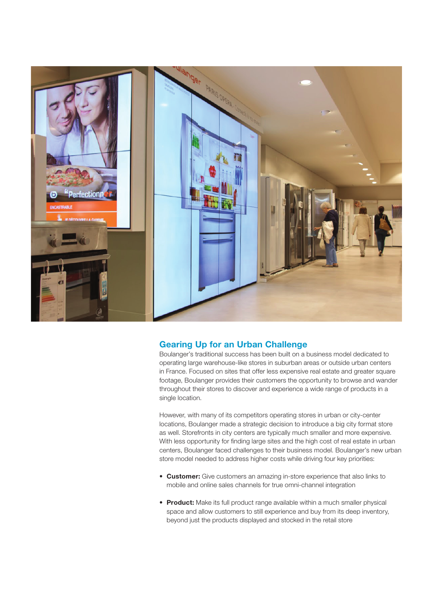

### Gearing Up for an Urban Challenge

Boulanger's traditional success has been built on a business model dedicated to operating large warehouse-like stores in suburban areas or outside urban centers in France. Focused on sites that offer less expensive real estate and greater square footage, Boulanger provides their customers the opportunity to browse and wander throughout their stores to discover and experience a wide range of products in a single location.

However, with many of its competitors operating stores in urban or city-center locations, Boulanger made a strategic decision to introduce a big city format store as well. Storefronts in city centers are typically much smaller and more expensive. With less opportunity for finding large sites and the high cost of real estate in urban centers, Boulanger faced challenges to their business model. Boulanger's new urban store model needed to address higher costs while driving four key priorities:

- Customer: Give customers an amazing in-store experience that also links to mobile and online sales channels for true omni-channel integration
- Product: Make its full product range available within a much smaller physical space and allow customers to still experience and buy from its deep inventory, beyond just the products displayed and stocked in the retail store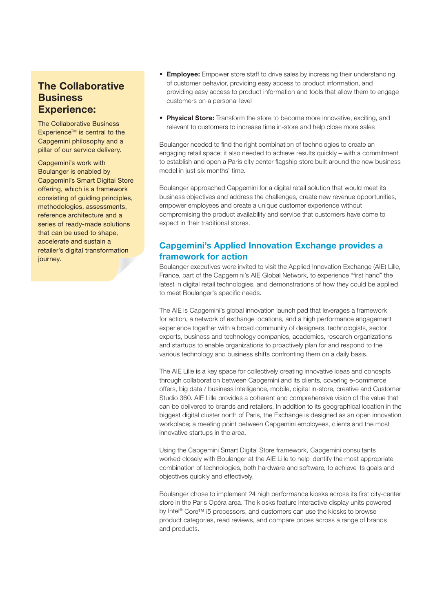# The Collaborative **Business** Experience:

The Collaborative Business Experience<sup>™</sup> is central to the Capgemini philosophy and a pillar of our service delivery.

Capgemini's work with Boulanger is enabled by Capgemini's Smart Digital Store offering, which is a framework consisting of guiding principles, methodologies, assessments, reference architecture and a series of ready-made solutions that can be used to shape, accelerate and sustain a retailer's digital transformation journey.

- **Employee:** Empower store staff to drive sales by increasing their understanding of customer behavior, providing easy access to product information, and providing easy access to product information and tools that allow them to engage customers on a personal level
- Physical Store: Transform the store to become more innovative, exciting, and relevant to customers to increase time in-store and help close more sales

Boulanger needed to find the right combination of technologies to create an engaging retail space; it also needed to achieve results quickly – with a commitment to establish and open a Paris city center flagship store built around the new business model in just six months' time.

Boulanger approached Capgemini for a digital retail solution that would meet its business objectives and address the challenges, create new revenue opportunities, empower employees and create a unique customer experience without compromising the product availability and service that customers have come to expect in their traditional stores.

# Capgemini's Applied Innovation Exchange provides a framework for action

Boulanger executives were invited to visit the Applied Innovation Exchange (AIE) Lille, France, part of the Capgemini's AIE Global Network, to experience "first hand" the latest in digital retail technologies, and demonstrations of how they could be applied to meet Boulanger's specific needs.

The AIE is Capgemini's global innovation launch pad that leverages a framework for action, a network of exchange locations, and a high performance engagement experience together with a broad community of designers, technologists, sector experts, business and technology companies, academics, research organizations and startups to enable organizations to proactively plan for and respond to the various technology and business shifts confronting them on a daily basis.

The AIE Lille is a key space for collectively creating innovative ideas and concepts through collaboration between Capgemini and its clients, covering e-commerce offers, big data / business intelligence, mobile, digital in-store, creative and Customer Studio 360. AIE Lille provides a coherent and comprehensive vision of the value that can be delivered to brands and retailers. In addition to its geographical location in the biggest digital cluster north of Paris, the Exchange is designed as an open innovation workplace; a meeting point between Capgemini employees, clients and the most innovative startups in the area.

Using the Capgemini Smart Digital Store framework, Capgemini consultants worked closely with Boulanger at the AIE Lille to help identify the most appropriate combination of technologies, both hardware and software, to achieve its goals and objectives quickly and effectively.

Boulanger chose to implement 24 high performance kiosks across its first city-center store in the Paris Opéra area. The kiosks feature interactive display units powered by Intel® Core™ i5 processors, and customers can use the kiosks to browse product categories, read reviews, and compare prices across a range of brands and products.